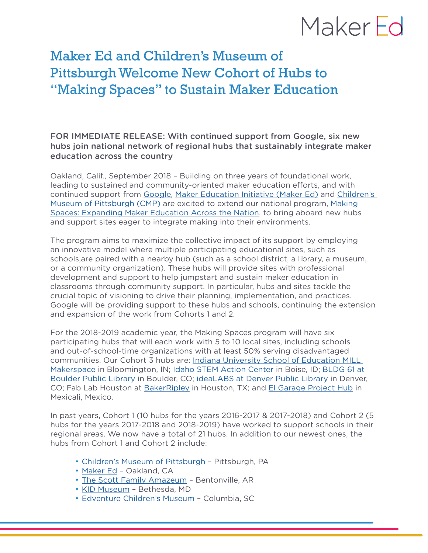## MakerFd

### Maker Ed and Children's Museum of Pittsburgh Welcome New Cohort of Hubs to "Making Spaces" to Sustain Maker Education

### FOR IMMEDIATE RELEASE: With continued support from Google, six new hubs join national network of regional hubs that sustainably integrate maker education across the country

Oakland, Calif., September 2018 – Building on three years of foundational work, leading to sustained and community-oriented maker education efforts, and with continued support from [Google,](http://makingscience.withgoogle.com/) [Maker Education Initiative \(Maker Ed\)](https://makered.org/) and [Children's](http://pittsburghkids.org/)  [Museum of Pittsburgh \(CMP\)](http://pittsburghkids.org/) are excited to extend our national program, [Making](http://makered.org/making-spaces)  [Spaces: Expanding Maker Education Across the Nation,](http://makered.org/making-spaces) to bring aboard new hubs and support sites eager to integrate making into their environments.

The program aims to maximize the collective impact of its support by employing an innovative model where multiple participating educational sites, such as schools,are paired with a nearby hub (such as a school district, a library, a museum, or a community organization). These hubs will provide sites with professional development and support to help jumpstart and sustain maker education in classrooms through community support. In particular, hubs and sites tackle the crucial topic of visioning to drive their planning, implementation, and practices. Google will be providing support to these hubs and schools, continuing the extension and expansion of the work from Cohorts 1 and 2.

For the 2018-2019 academic year, the Making Spaces program will have six participating hubs that will each work with 5 to 10 local sites, including schools and out-of-school-time organizations with at least 50% serving disadvantaged communities. Our Cohort 3 hubs are: [Indiana University School of Education MILL](https://education.indiana.edu/community/mill/index.html)  [Makerspace](https://education.indiana.edu/community/mill/index.html) in Bloomington, IN; [Idaho STEM Action Center](https://stem.idaho.gov/) in Boise, ID; BLDG 61 at [Boulder Public Library](https://boulderlibrary.org/bldg61/) in Boulder, CO; [ideaLABS at Denver Public Library](https://www.denverlibrary.org/idealab) in Denver, CO; Fab Lab Houston at [BakerRipley](https://www.bakerripley.org/) in Houston, TX; and [El Garage Project Hub](https://elgaragehub.com/) in Mexicali, Mexico.

In past years, Cohort 1 (10 hubs for the years 2016-2017 & 2017-2018) and Cohort 2 (5 hubs for the years 2017-2018 and 2018-2019) have worked to support schools in their regional areas. We now have a total of 21 hubs. In addition to our newest ones, the hubs from Cohort 1 and Cohort 2 include:

- [Children's Museum of Pittsburgh](http://pittsburghkids.org/)  Pittsburgh, PA
- [Maker Ed](http://makered.org/)  Oakland, CA
- [The Scott Family Amazeum](http://amazeum.org/) Bentonville, AR
- [KID Museum](http://kid-museum.org/)  Bethesda, MD
- [Edventure Children's Museum](http://edventure.org/) Columbia, SC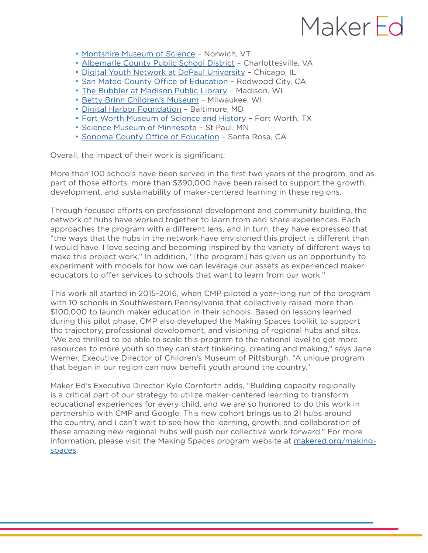# MakerFd

- [Montshire Museum of Science](http://montshire.org/) Norwich, VT
- [Albemarle County Public School District](https://www2.k12albemarle.org/Pages/default.asp)  Charlottesville, VA
- [Digital Youth Network at DePaul University](http://digitalyouthnetwork.org/)  Chicago, IL
- [San Mateo County Office of Education](https://sites.google.com/smcoe.org/makelearn/home) Redwood City, CA
- [The Bubbler at Madison Public Library](http://www.madisonbubbler.org/) Madison, WI
- [Betty Brinn Children's Museum](http://www.bbcmkids.org/) Milwaukee, WI
- [Digital Harbor Foundation](http://www.digitalharbor.org/)  Baltimore, MD
- [Fort Worth Museum of Science and History](http://www.fwmuseum.org/) Fort Worth, TX
- [Science Museum of Minnesota](https://www.smm.org/)  St Paul, MN
- [Sonoma County Office of Education](http://www.scoe.org/)  Santa Rosa, CA

Overall, the impact of their work is significant:

More than 100 schools have been served in the first two years of the program, and as part of those efforts, more than \$390,000 have been raised to support the growth, development, and sustainability of maker-centered learning in these regions.

Through focused efforts on professional development and community building, the network of hubs have worked together to learn from and share experiences. Each approaches the program with a different lens, and in turn, they have expressed that "the ways that the hubs in the network have envisioned this project is different than I would have. I love seeing and becoming inspired by the variety of different ways to make this project work." In addition, "[the program] has given us an opportunity to experiment with models for how we can leverage our assets as experienced maker educators to offer services to schools that want to learn from our work."

This work all started in 2015-2016, when CMP piloted a year-long run of the program with 10 schools in Southwestern Pennsylvania that collectively raised more than \$100,000 to launch maker education in their schools. Based on lessons learned during this pilot phase, CMP also developed the Making Spaces toolkit to support the trajectory, professional development, and visioning of regional hubs and sites. "We are thrilled to be able to scale this program to the national level to get more resources to more youth so they can start tinkering, creating and making," says Jane Werner, Executive Director of Children's Museum of Pittsburgh. "A unique program that began in our region can now benefit youth around the country."

Maker Ed's Executive Director Kyle Cornforth adds, "Building capacity regionally is a critical part of our strategy to utilize maker-centered learning to transform educational experiences for every child, and we are so honored to do this work in partnership with CMP and Google. This new cohort brings us to 21 hubs around the country, and I can't wait to see how the learning, growth, and collaboration of these amazing new regional hubs will push our collective work forward." For more information, please visit the Making Spaces program website at [makered.org/making](http://makered.org/making-spaces)[spaces](http://makered.org/making-spaces).